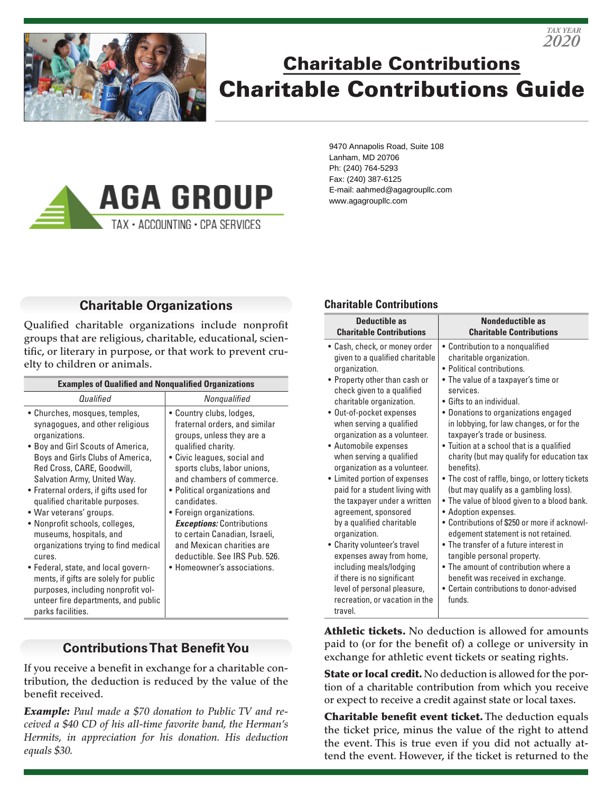

# Charitable Contributions Charitable Contributions Guide

*2020 TAX YEAR*



9470 Annapolis Road, Suite 108 Lanham, MD 20706 Ph: (240) 764-5293 Fax: (240) 387-6125 E-mail: aahmed@agagroupllc.com www.agagroupllc.com

## **Charitable Organizations**

Qualified charitable organizations include nonprofit groups that are religious, charitable, educational, scientific, or literary in purpose, or that work to prevent cruelty to children or animals.

| <b>Examples of Qualified and Nonqualified Organizations</b>                                                                                                                                                                                                                                                                                                                                                                                                                                                                                                                                                                     |                                                                                                                                                                                                                                                                                                                                                                                                                                                       |
|---------------------------------------------------------------------------------------------------------------------------------------------------------------------------------------------------------------------------------------------------------------------------------------------------------------------------------------------------------------------------------------------------------------------------------------------------------------------------------------------------------------------------------------------------------------------------------------------------------------------------------|-------------------------------------------------------------------------------------------------------------------------------------------------------------------------------------------------------------------------------------------------------------------------------------------------------------------------------------------------------------------------------------------------------------------------------------------------------|
| Qualified                                                                                                                                                                                                                                                                                                                                                                                                                                                                                                                                                                                                                       | Nongualified                                                                                                                                                                                                                                                                                                                                                                                                                                          |
| • Churches, mosques, temples,<br>synagogues, and other religious<br>organizations.<br>• Boy and Girl Scouts of America,<br>Boys and Girls Clubs of America,<br>Red Cross, CARE, Goodwill,<br>Salvation Army, United Way.<br>• Fraternal orders, if gifts used for<br>qualified charitable purposes.<br>• War veterans' groups.<br>• Nonprofit schools, colleges,<br>museums, hospitals, and<br>organizations trying to find medical<br>cures.<br>• Federal, state, and local govern-<br>ments, if gifts are solely for public<br>purposes, including nonprofit vol-<br>unteer fire departments, and public<br>parks facilities. | · Country clubs, lodges,<br>fraternal orders, and similar<br>groups, unless they are a<br>qualified charity.<br>• Civic leagues, social and<br>sports clubs, labor unions,<br>and chambers of commerce.<br>• Political organizations and<br>candidates.<br>• Foreign organizations.<br><b>Exceptions: Contributions</b><br>to certain Canadian, Israeli,<br>and Mexican charities are<br>deductible. See IRS Pub. 526.<br>• Homeowner's associations. |

## **Contributions That Benefit You**

If you receive a benefit in exchange for a charitable contribution, the deduction is reduced by the value of the benefit received.

*Example: Paul made a \$70 donation to Public TV and received a \$40 CD of his all-time favorite band, the Herman's Hermits, in appreciation for his donation. His deduction equals \$30.*

#### **Charitable Contributions**

| • Cash, check, or money order<br>• Contribution to a nongualified<br>charitable organization.<br>given to a qualified charitable<br>• Political contributions.<br>organization.<br>• Property other than cash or<br>• The value of a taxpayer's time or<br>check given to a qualified<br>services.<br>charitable organization.<br>• Gifts to an individual.<br>• Out-of-pocket expenses<br>• Donations to organizations engaged<br>when serving a qualified<br>in lobbying, for law changes, or for the<br>taxpayer's trade or business.<br>organization as a volunteer.<br>• Tuition at a school that is a qualified<br>• Automobile expenses<br>when serving a qualified<br>organization as a volunteer.<br>benefits).<br>• Limited portion of expenses<br>(but may qualify as a gambling loss).<br>paid for a student living with<br>the taxpayer under a written<br>• Adoption expenses.<br>agreement, sponsored<br>by a qualified charitable | <b>Deductible as</b><br><b>Charitable Contributions</b> | <b>Nondeductible as</b><br><b>Charitable Contributions</b>                                                                                                                                                                          |
|---------------------------------------------------------------------------------------------------------------------------------------------------------------------------------------------------------------------------------------------------------------------------------------------------------------------------------------------------------------------------------------------------------------------------------------------------------------------------------------------------------------------------------------------------------------------------------------------------------------------------------------------------------------------------------------------------------------------------------------------------------------------------------------------------------------------------------------------------------------------------------------------------------------------------------------------------|---------------------------------------------------------|-------------------------------------------------------------------------------------------------------------------------------------------------------------------------------------------------------------------------------------|
| • The transfer of a future interest in<br>• Charity volunteer's travel<br>expenses away from home,<br>tangible personal property.<br>• The amount of contribution where a<br>including meals/lodging<br>if there is no significant<br>benefit was received in exchange.<br>• Certain contributions to donor-advised<br>level of personal pleasure,<br>funds.<br>recreation, or vacation in the                                                                                                                                                                                                                                                                                                                                                                                                                                                                                                                                                    | organization.                                           | charity (but may qualify for education tax<br>• The cost of raffle, bingo, or lottery tickets<br>• The value of blood given to a blood bank.<br>• Contributions of \$250 or more if acknowl-<br>edgement statement is not retained. |

travel.

Athletic tickets. No deduction is allowed for amounts paid to (or for the benefit of) a college or university in exchange for athletic event tickets or seating rights.

State or local credit. No deduction is allowed for the portion of a charitable contribution from which you receive or expect to receive a credit against state or local taxes.

Charitable benefit event ticket. The deduction equals the ticket price, minus the value of the right to attend the event. This is true even if you did not actually attend the event. However, if the ticket is returned to the